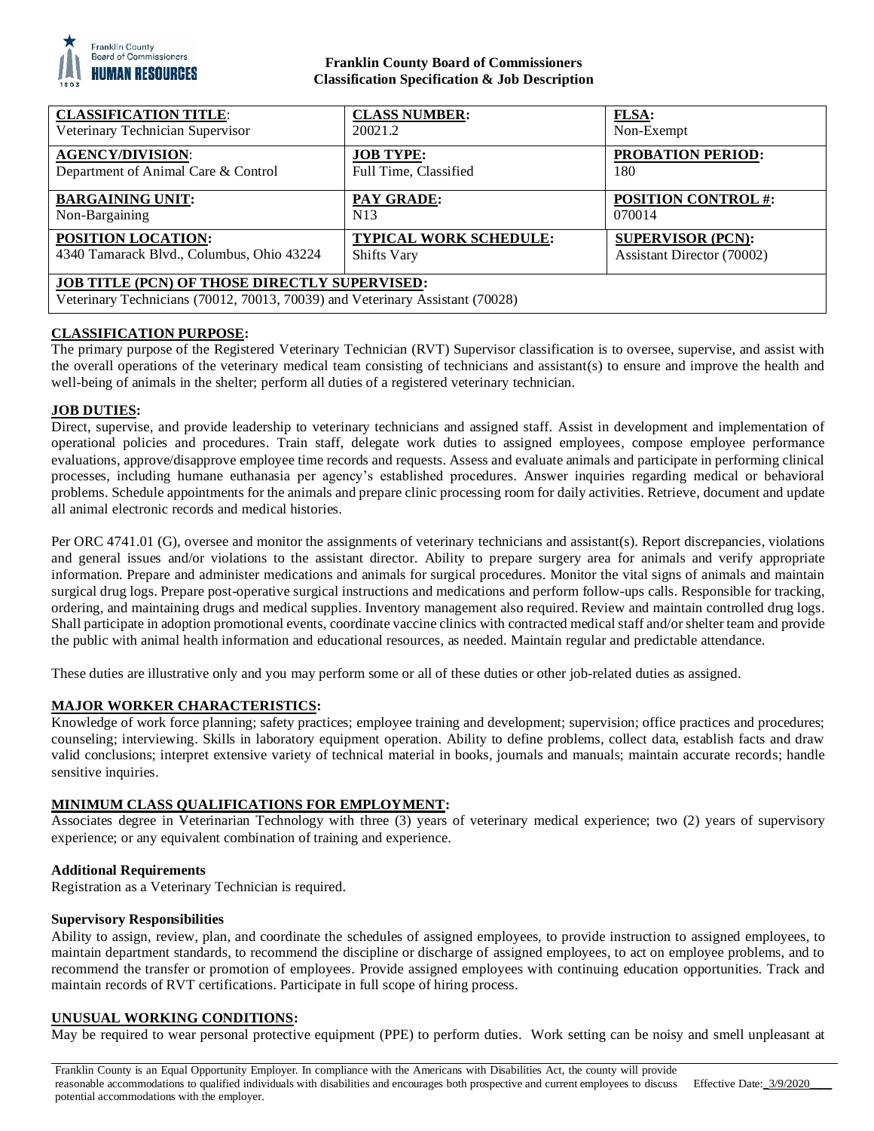

### **Franklin County Board of Commissioners Classification Specification & Job Description**

| <b>CLASSIFICATION TITLE:</b>                                                                                                          | <b>CLASS NUMBER:</b>   | <b>FLSA:</b>               |
|---------------------------------------------------------------------------------------------------------------------------------------|------------------------|----------------------------|
| Veterinary Technician Supervisor                                                                                                      | 20021.2                | Non-Exempt                 |
| <b>AGENCY/DIVISION:</b>                                                                                                               | <b>JOB TYPE:</b>       | <b>PROBATION PERIOD:</b>   |
| Department of Animal Care & Control                                                                                                   | Full Time, Classified  | 180                        |
| <b>BARGAINING UNIT:</b>                                                                                                               | PAY GRADE:             | <b>POSITION CONTROL #:</b> |
| Non-Bargaining                                                                                                                        | N <sub>13</sub>        | 070014                     |
| <b>POSITION LOCATION:</b>                                                                                                             | TYPICAL WORK SCHEDULE: | <b>SUPERVISOR (PCN):</b>   |
| 4340 Tamarack Blvd., Columbus, Ohio 43224                                                                                             | <b>Shifts Vary</b>     | Assistant Director (70002) |
| <b>JOB TITLE (PCN) OF THOSE DIRECTLY SUPERVISED:</b><br>Veterinary Technicians (70012, 70013, 70039) and Veterinary Assistant (70028) |                        |                            |

# **CLASSIFICATION PURPOSE:**

The primary purpose of the Registered Veterinary Technician (RVT) Supervisor classification is to oversee, supervise, and assist with the overall operations of the veterinary medical team consisting of technicians and assistant(s) to ensure and improve the health and well-being of animals in the shelter; perform all duties of a registered veterinary technician.

### **JOB DUTIES:**

Direct, supervise, and provide leadership to veterinary technicians and assigned staff. Assist in development and implementation of operational policies and procedures. Train staff, delegate work duties to assigned employees, compose employee performance evaluations, approve/disapprove employee time records and requests. Assess and evaluate animals and participate in performing clinical processes, including humane euthanasia per agency's established procedures. Answer inquiries regarding medical or behavioral problems. Schedule appointments for the animals and prepare clinic processing room for daily activities. Retrieve, document and update all animal electronic records and medical histories.

Per ORC 4741.01 (G), oversee and monitor the assignments of veterinary technicians and assistant(s). Report discrepancies, violations and general issues and/or violations to the assistant director. Ability to prepare surgery area for animals and verify appropriate information. Prepare and administer medications and animals for surgical procedures. Monitor the vital signs of animals and maintain surgical drug logs. Prepare post-operative surgical instructions and medications and perform follow-ups calls. Responsible for tracking, ordering, and maintaining drugs and medical supplies. Inventory management also required. Review and maintain controlled drug logs. Shall participate in adoption promotional events, coordinate vaccine clinics with contracted medical staff and/or shelter team and provide the public with animal health information and educational resources, as needed. Maintain regular and predictable attendance.

These duties are illustrative only and you may perform some or all of these duties or other job-related duties as assigned.

### **MAJOR WORKER CHARACTERISTICS:**

Knowledge of work force planning; safety practices; employee training and development; supervision; office practices and procedures; counseling; interviewing. Skills in laboratory equipment operation. Ability to define problems, collect data, establish facts and draw valid conclusions; interpret extensive variety of technical material in books, journals and manuals; maintain accurate records; handle sensitive inquiries.

### **MINIMUM CLASS QUALIFICATIONS FOR EMPLOYMENT:**

Associates degree in Veterinarian Technology with three (3) years of veterinary medical experience; two (2) years of supervisory experience; or any equivalent combination of training and experience.

#### **Additional Requirements**

Registration as a Veterinary Technician is required.

#### **Supervisory Responsibilities**

Ability to assign, review, plan, and coordinate the schedules of assigned employees, to provide instruction to assigned employees, to maintain department standards, to recommend the discipline or discharge of assigned employees, to act on employee problems, and to recommend the transfer or promotion of employees. Provide assigned employees with continuing education opportunities. Track and maintain records of RVT certifications. Participate in full scope of hiring process.

## **UNUSUAL WORKING CONDITIONS:**

May be required to wear personal protective equipment (PPE) to perform duties. Work setting can be noisy and smell unpleasant at

Franklin County is an Equal Opportunity Employer. In compliance with the Americans with Disabilities Act, the county will provide reasonable accommodations to qualified individuals with disabilities and encourages both prospective and current employees to discuss potential accommodations with the employer. Effective Date:  $3/9/2020$